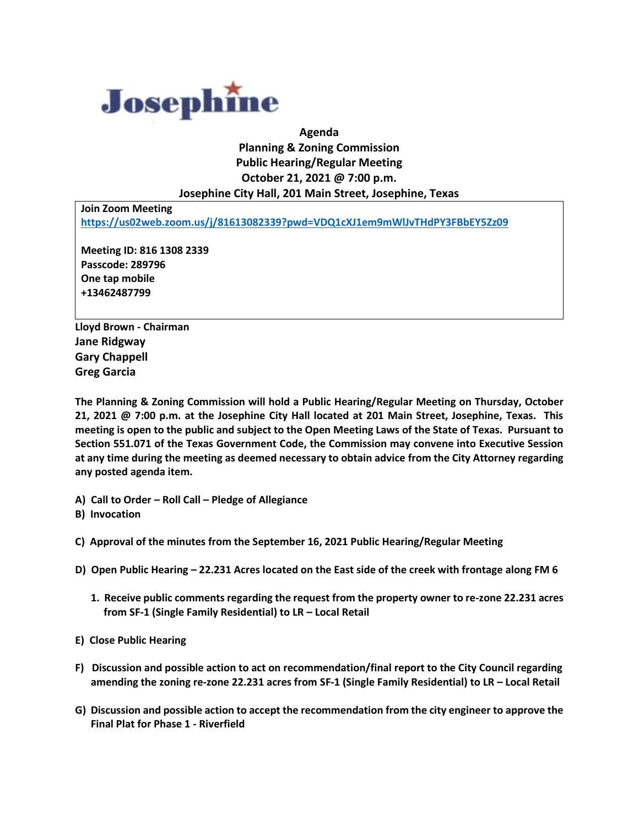

## **Agenda Planning & Zoning Commission Public Hearing/Regular Meeting October 21, 2021 @ 7:00 p.m. Josephine City Hall, 201 Main Street, Josephine, Texas**

**Join Zoom Meeting <https://us02web.zoom.us/j/81613082339?pwd=VDQ1cXJ1em9mWlJvTHdPY3FBbEY5Zz09>**

**Meeting ID: 816 1308 2339 Passcode: 289796 One tap mobile +13462487799**

**Lloyd Brown - Chairman Jane Ridgway Gary Chappell Greg Garcia**

**The Planning & Zoning Commission will hold a Public Hearing/Regular Meeting on Thursday, October 21, 2021 @ 7:00 p.m. at the Josephine City Hall located at 201 Main Street, Josephine, Texas. This meeting is open to the public and subject to the Open Meeting Laws of the State of Texas. Pursuant to Section 551.071 of the Texas Government Code, the Commission may convene into Executive Session at any time during the meeting as deemed necessary to obtain advice from the City Attorney regarding any posted agenda item.**

**A) Call to Order – Roll Call – Pledge of Allegiance**

**B) Invocation**

- **C) Approval of the minutes from the September 16, 2021 Public Hearing/Regular Meeting**
- **D) Open Public Hearing – 22.231 Acres located on the East side of the creek with frontage along FM 6**
	- **1. Receive public comments regarding the request from the property owner to re-zone 22.231 acres from SF-1 (Single Family Residential) to LR – Local Retail**
- **E) Close Public Hearing**
- **F) Discussion and possible action to act on recommendation/final report to the City Council regarding amending the zoning re-zone 22.231 acres from SF-1 (Single Family Residential) to LR – Local Retail**
- **G) Discussion and possible action to accept the recommendation from the city engineer to approve the Final Plat for Phase 1 - Riverfield**